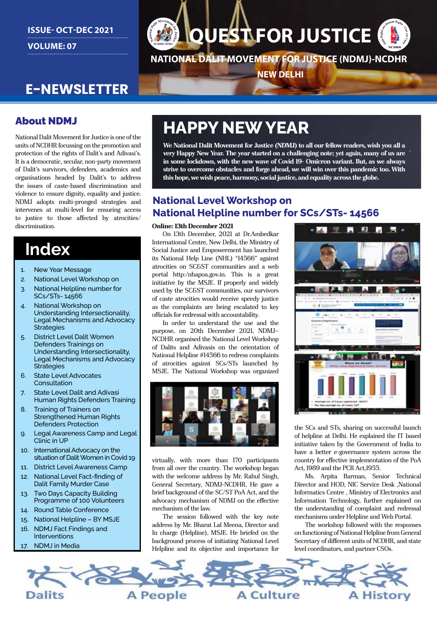### **ISSUE- OCT-DEC 2021 VOLUME: 07**

# **QUEST FOR JUSTICE**

**NATIONAL DALIT MOVEMENT FOR JUSTICE (NDMJ)-NCDHR**

**NEW DELHI**

## **E-NEWSLETTER**

### About NDMJ

National Dalit Movement for Justice is one of the units of NCDHR focussing on the promotion and protection of the rights of Dalit's and Adivasi's. It is a democratic, secular, non-party movement of Dalit's survivors, defenders, academics and organisations headed by Dalit's to address the issues of caste-based discrimination and violence to ensure dignity, equality and justice. NDMJ adopts multi-pronged strategies and intervenes at multi-level for ensuring access to justice to those affected by atrocities/ discrimination.

## **Index**

- 1. New Year Message
- 2. National Level Workshop on
- 3. National Helpline number for SCs/STs- 14566
- 4. National Workshop on Understanding Intersectionality, Legal Mechanisms and Advocacy **Strategies**
- 5. District Level Dalit Women Defenders Trainings on Understanding Intersectionality, Legal Mechanisms and Advocacy **Strategies**
- 6. State Level Advocates Consultation
- 7. State Level Dalit and Adivasi Human Rights Defenders Training
- 8. Training of Trainers on Strengthened Human Rights Defenders Protection
- 9. Legal Awareness Camp and Legal Clinic in UP
- 10. International Advocacy on the situation of Dalit Women in Covid 19
- 11. District Level Awareness Camp
- 12. National Level Fact-finding of Dalit Family Murder Case
- 13. Two Days Capacity Building Programme of 100 Volunteers
- 14. Round Table Conference
- 15. National Helpline BY MSJE
- 16. NDMJ Fact Findings and Interventions
- 17. NDMJ in Media

## **HAPPY NEW YEAR**

**We National Dalit Movement for Justice (NDMJ) to all our fellow readers, wish you all a very Happy New Year. The year started on a challenging note; yet again, many of us are in some lockdown, with the new wave of Covid 19- Omicron variant. But, as we always strive to overcome obstacles and forge ahead, we will win over this pandemic too. With this hope, we wish peace, harmony, social justice, and equality across the globe.**

### **National Level Workshop on National Helpline number for SCs/STs- 14566**

#### **Online: 13th December 2021**

On 13th December, 2021 at Dr.Ambedkar International Centre, New Delhi, the Ministry of Social Justice and Empowerment has launched its National Help Line (NHL) "14566" against atrocities on SC&ST communities and a web portal http:/nhapoa.gov.in. This is a great initiative by the MSJE. If properly and widely used by the SC&ST communities, our survivors of caste atrocities would receive speedy justice as the complaints are being escalated to key officials for redressal with accountability.

In order to understand the use and the purpose, on 20th December 2021, NDMJ– NCDHR organised the National Level Workshop of Dalits and Adivasis on the orientation of National Helpline #14566 to redress complaints of atrocities against SCs/STs launched by MSJE. The National Workshop was organized



virtually, with more than 170 participants from all over the country. The workshop began with the welcome address by Mr. Rahul Singh, General Secretary, NDMJ-NCDHR. He gave a brief background of the SC/ST PoA Act, and the advocacy mechanism of NDMJ on the effective mechanism of the law.

The session followed with the key note address by Mr. Bharat Lal Meena, Director and In charge (Helpline), MSJE. He briefed on the background process of initiating National Level Helpline and its objective and importance for



the SCs and STs, sharing on successful launch of helpline at Delhi. He explained the IT based initiative taken by the Government of India to have a better e-governance system across the country for effective implementation of the PoA Act, 1989 and the PCR Act,1955.

Ms. Arpita Barman, Senior Technical Director and HOD, NIC Service Desk ,National Informatics Centre , Ministry of Electronics and Information Technology, further explained on the understanding of complaint and redressal mechanisms under Helpline and Web Portal.

The workshop followed with the responses on functioning of National Helpline from General Secretary of different units of NCDHR, and state level coordinators, and partner CSOs.

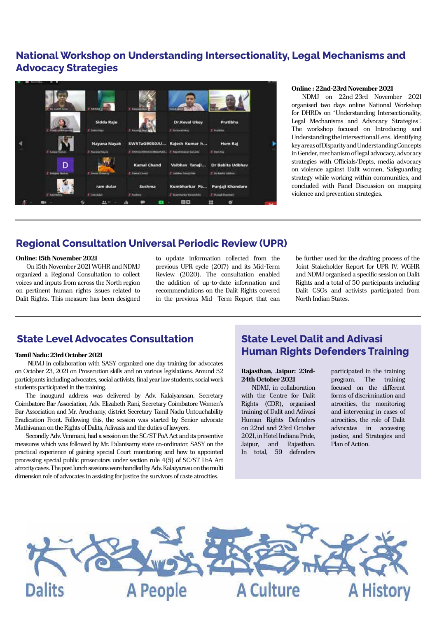### **National Workshop on Understanding Intersectionality, Legal Mechanisms and Advocacy Strategies**



#### **Online : 22nd-23rd November 2021**

NDMJ on 22nd-23rd November 2021 organised two days online National Workshop for DHRDs on "Understanding Intersectionality, Legal Mechanisms and Advocacy Strategies". The workshop focused on Introducing and Understanding the Intersectional Lens, Identifying key areas of Disparity and Understanding Concepts in Gender, mechanism of legal advocacy, advocacy strategies with Officials/Depts, media advocacy on violence against Dalit women, Safeguarding strategy while working within communities, and concluded with Panel Discussion on mapping violence and prevention strategies.

#### **Regional Consultation Universal Periodic Review (UPR)**

#### **Online: 15th November 2021**

On 15th November 2021 WGHR and NDMJ organized a Regional Consultation to collect voices and inputs from across the North region on pertinent human rights issues related to Dalit Rights. This measure has been designed

to update information collected from the previous UPR cycle (2017) and its Mid-Term Review (2020). The consultation enabled the addition of up-to-date information and recommendations on the Dalit Rights covered in the previous Mid- Term Report that can

be further used for the drafting process of the Joint Stakeholder Report for UPR IV. WGHR and NDMJ organised a specific session on Dalit Rights and a total of 50 participants including Dalit CSOs and activists participated from North Indian States.

#### **State Level Advocates Consultation**

#### **Tamil Nadu: 23rd October 2021**

 NDMJ in collaboration with SASY organized one day training for advocates on October 23, 2021 on Prosecution skills and on various legislations. Around 52 participants including advocates, social activists, final year law students, social work students participated in the training.

The inaugural address was delivered by Adv. Kalaiyarasan, Secretary Coimbatore Bar Association, Adv. Elizabeth Rani, Secretary Coimbatore Women's Bar Association and Mr. Aruchamy, district Secretary Tamil Nadu Untouchability Eradication Front. Following this, the session was started by Senior advocate Mathivanan on the Rights of Dalits, Adivasis and the duties of lawyers.

Secondly Adv. Venmani, had a session on the SC/ST PoA Act and its preventive measures which was followed by Mr. Palanisamy state co-ordinator, SASY on the practical experience of gaining special Court monitoring and how to appointed processing special public prosecutors under section rule 4(5) of SC/ST PoA Act atrocity cases. The post lunch sessions were handled by Adv. Kalaiyarasu on the multi dimension role of advocates in assisting for justice the survivors of caste atrocities.

### **State Level Dalit and Adivasi Human Rights Defenders Training**

#### **Rajasthan, Jaipur: 23rd-24th October 2021**

NDMJ, in collaboration with the Centre for Dalit Rights (CDR), organised training of Dalit and Adivasi Human Rights Defenders on 22nd and 23rd October 2021, in Hotel Indiana Pride, Jaipur, and Rajasthan. In total, 59 defenders

participated in the training program. The training focused on the different forms of discrimination and atrocities, the monitoring and intervening in cases of atrocities, the role of Dalit advocates in accessing justice, and Strategies and Plan of Action.

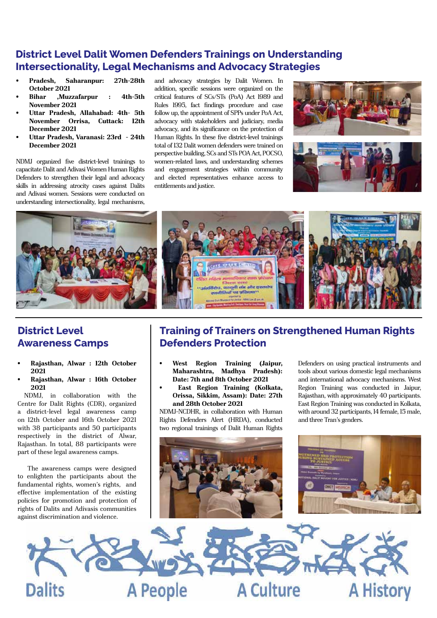### **District Level Dalit Women Defenders Trainings on Understanding Intersectionality, Legal Mechanisms and Advocacy Strategies**

- **• Pradesh, Saharanpur: 27th-28th October 2021**
- **• Bihar ,Muzzafarpur : 4th-5th November 2021**
- **• Uttar Pradesh, Allahabad: 4th- 5th November Orrisa, Cuttack: 12th December 2021**
- **• Uttar Pradesh, Varanasi: 23rd 24th December 2021**

NDMJ organized five district-level trainings to capacitate Dalit and Adivasi Women Human Rights Defenders to strengthen their legal and advocacy skills in addressing atrocity cases against Dalits and Adivasi women. Sessions were conducted on understanding intersectionality, legal mechanisms, and advocacy strategies by Dalit Women. In addition, specific sessions were organized on the critical features of SCs/STs (PoA) Act 1989 and Rules 1995, fact findings procedure and case follow up, the appointment of SPPs under PoA Act, advocacy with stakeholders and judiciary, media advocacy, and its significance on the protection of Human Rights. In these five district-level trainings total of 132 Dalit women defenders were trained on perspective building, SCs and STs POA Act, POCSO, women-related laws, and understanding schemes and engagement strategies within community and elected representatives enhance access to entitlements and justice.







### **District Level Awareness Camps**

- **• Rajasthan, Alwar : 12th October 2021**
- **• Rajasthan, Alwar : 16th October 2021**

NDMJ, in collaboration with the Centre for Dalit Rights (CDR), organized a district-level legal awareness camp on 12th October and 16th October 2021 with 38 participants and 50 participants respectively in the district of Alwar, Rajasthan. In total, 88 participants were part of these legal awareness camps.

 The awareness camps were designed to enlighten the participants about the fundamental rights, women's rights, and effective implementation of the existing policies for promotion and protection of rights of Dalits and Adivasis communities against discrimination and violence.

### **Training of Trainers on Strengthened Human Rights Defenders Protection**

- **• West Region Training (Jaipur, Maharashtra, Madhya Pradesh): Date: 7th and 8th October 2021**
- **East Region Training (Kolkata, Orissa, Sikkim, Assam): Date: 27th and 28th October 2021**

NDMJ-NCDHR, in collaboration with Human Rights Defenders Alert (HRDA), conducted two regional trainings of Dalit Human Rights







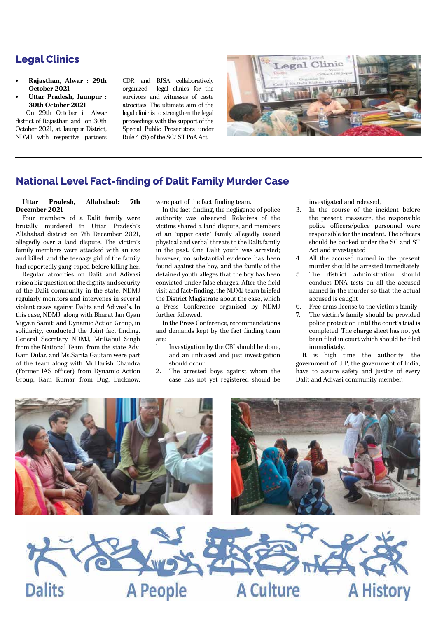### **Legal Clinics**

- **• Rajasthan, Alwar : 29th October 2021**
- **• Uttar Pradesh, Jaunpur : 30th October 2021**

On 29th October in Alwar district of Rajasthan and on 30th October 2021, at Jaunpur District, NDMJ with respective partners CDR and BJSA collaboratively organized legal clinics for the survivors and witnesses of caste atrocities. The ultimate aim of the legal clinic is to strengthen the legal proceedings with the support of the Special Public Prosecutors under Rule 4 (5) of the SC/ ST PoA Act.



#### **National Level Fact-finding of Dalit Family Murder Case**

#### **Uttar Pradesh, Allahabad: 7th December 2021**

Four members of a Dalit family were brutally murdered in Uttar Pradesh's Allahabad district on 7th December 2021, allegedly over a land dispute. The victim's family members were attacked with an axe and killed, and the teenage girl of the family had reportedly gang-raped before killing her.

Regular atrocities on Dalit and Adivasi raise a big question on the dignity and security of the Dalit community in the state. NDMJ regularly monitors and intervenes in several violent cases against Dalits and Adivasi's. In this case, NDMJ, along with Bharat Jan Gyan Vigyan Samiti and Dynamic Action Group, in solidarity, conducted the Joint-fact-finding. General Secretary NDMJ, Mr.Rahul Singh from the National Team, from the state Adv. Ram Dular, and Ms.Sarita Gautam were part of the team along with Mr.Harish Chandra (Former IAS officer) from Dynamic Action Group, Ram Kumar from Dug, Lucknow, were part of the fact-finding team.

In the fact-finding, the negligence of police authority was observed. Relatives of the victims shared a land dispute, and members of an 'upper-caste' family allegedly issued physical and verbal threats to the Dalit family in the past. One Dalit youth was arrested; however, no substantial evidence has been found against the boy, and the family of the detained youth alleges that the boy has been convicted under false charges. After the field visit and fact-finding, the NDMJ team briefed the District Magistrate about the case, which a Press Conference organised by NDMJ further followed.

In the Press Conference, recommendations and demands kept by the fact-finding team are:-

- 1. Investigation by the CBI should be done, and an unbiased and just investigation should occur.
- 2. The arrested boys against whom the case has not yet registered should be

investigated and released,

- 3. In the course of the incident before the present massacre, the responsible police officers/police personnel were responsible for the incident. The officers should be booked under the SC and ST Act and investigated
- 4. All the accused named in the present murder should be arrested immediately
- 5. The district administration should conduct DNA tests on all the accused named in the murder so that the actual accused is caught
- 6. Free arms license to the victim's family
- 7. The victim's family should be provided police protection until the court's trial is completed. The charge sheet has not yet been filed in court which should be filed immediately.

It is high time the authority, the government of U.P, the government of India, have to assure safety and justice of every Dalit and Adivasi community member.

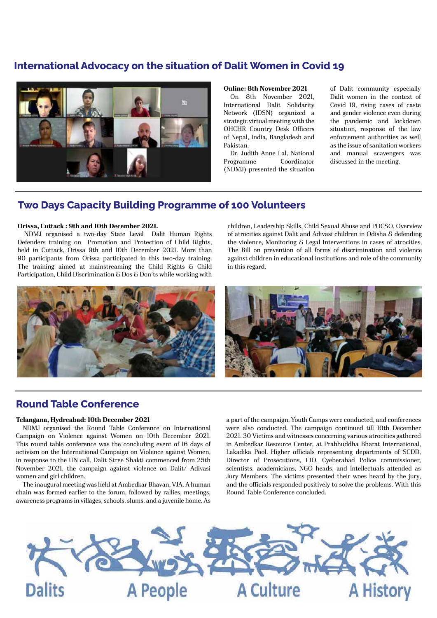### **International Advocacy on the situation of Dalit Women in Covid 19**



#### **Online: 8th November 2021**

On 8th November 2021, International Dalit Solidarity Network (IDSN) organized a strategic virtual meeting with the OHCHR Country Desk Officers of Nepal, India, Bangladesh and Pakistan.

Dr. Judith Anne Lal, National Programme Coordinator (NDMJ) presented the situation

of Dalit community especially Dalit women in the context of Covid 19, rising cases of caste and gender violence even during the pandemic and lockdown situation, response of the law enforcement authorities as well as the issue of sanitation workers and manual scavengers was discussed in the meeting.

#### **Two Days Capacity Building Programme of 100 Volunteers**

#### **Orissa, Cuttack : 9th and 10th December 2021.**

NDMJ organised a two-day State Level Dalit Human Rights Defenders training on Promotion and Protection of Child Rights, held in Cuttack, Orissa 9th and 10th December 2021. More than 90 participants from Orissa participated in this two-day training. The training aimed at mainstreaming the Child Rights & Child Participation, Child Discrimination & Dos & Don'ts while working with children, Leadership Skills, Child Sexual Abuse and POCSO, Overview of atrocities against Dalit and Adivasi children in Odisha & defending the violence, Monitoring & Legal Interventions in cases of atrocities, The Bill on prevention of all forms of discrimination and violence against children in educational institutions and role of the community in this regard.



#### **Round Table Conference**

#### **Telangana, Hydreabad: 10th December 2021**

NDMJ organised the Round Table Conference on International Campaign on Violence against Women on 10th December 2021. This round table conference was the concluding event of 16 days of activism on the International Campaign on Violence against Women, in response to the UN call, Dalit Stree Shakti commenced from 25th November 2021, the campaign against violence on Dalit/ Adivasi women and girl children.

The inaugural meeting was held at Ambedkar Bhavan, VJA. A human chain was formed earlier to the forum, followed by rallies, meetings, awareness programs in villages, schools, slums, and a juvenile home. As

a part of the campaign, Youth Camps were conducted, and conferences were also conducted. The campaign continued till 10th December 2021. 30 Victims and witnesses concerning various atrocities gathered in Ambedkar Resource Center, at Prabhuddha Bharat International, Lakadika Pool. Higher officials representing departments of SCDD, Director of Prosecutions, CID, Cyeberabad Police commissioner, scientists, academicians, NGO heads, and intellectuals attended as Jury Members. The victims presented their woes heard by the jury, and the officials responded positively to solve the problems. With this Round Table Conference concluded.

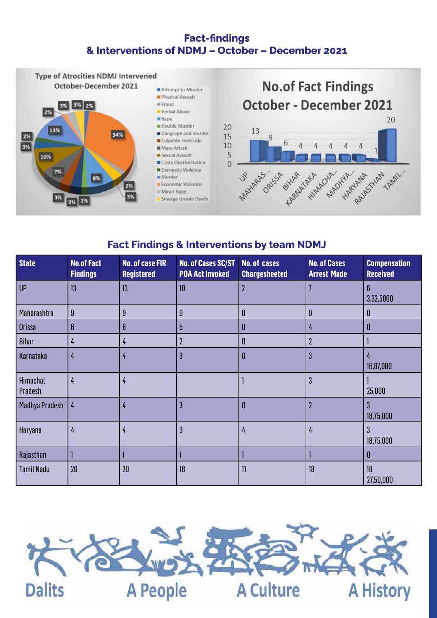### **Fact-findings & Interventions of NDMJ – October – December 2021**



### **Fact Findings & Interventions by team NDMJ**

| <b>State</b>        | <b>No.of Fact</b><br><b>Findings</b> | <b>No. of case FIR</b><br><b>Registered</b> | <b>No. of Cases SC/ST</b><br><b>POA Act Invoked</b> | <b>No. of cases</b><br><b>Chargesheeted</b> | <b>No. of Cases</b><br><b>Arrest Made</b> | <b>Compensation</b><br><b>Received</b> |
|---------------------|--------------------------------------|---------------------------------------------|-----------------------------------------------------|---------------------------------------------|-------------------------------------------|----------------------------------------|
| <b>UP</b>           | 13                                   | 13                                          | 10                                                  | $\overline{2}$                              |                                           | 6<br>3,32,5000                         |
| Maharashtra         | 9                                    | 9                                           | 9                                                   | $\mathbf{0}$                                | $\overline{9}$                            | 0                                      |
| <b>Orissa</b>       | 6                                    | 6                                           | 5                                                   | 0                                           | 4                                         | N                                      |
| <b>Bihar</b>        | 4                                    | 4                                           | $\mathbf 2$                                         | 0                                           | $\mathbf 2$                               |                                        |
| Karnataka           | 4                                    | 4                                           | 3                                                   | 0                                           | $\overline{3}$                            | 4<br>16,87,000                         |
| Himachal<br>Pradesh | 4                                    | 4                                           |                                                     |                                             | $\overline{3}$                            | 25,000                                 |
| Madhya Pradesh      | 4                                    | 4                                           | 3                                                   | 0                                           | $\overline{2}$                            | 3<br>18,75,000                         |
| Haryana             | 4                                    | 4                                           | 3                                                   | 4                                           | $\frac{1}{4}$                             | 3<br>18,75,000                         |
| Rajasthan           |                                      |                                             |                                                     |                                             |                                           | 0                                      |
| <b>Tamil Nadu</b>   | 20                                   | 20                                          | 18                                                  | $\mathbf{1}$                                | 18                                        | 18<br>27,50,000                        |